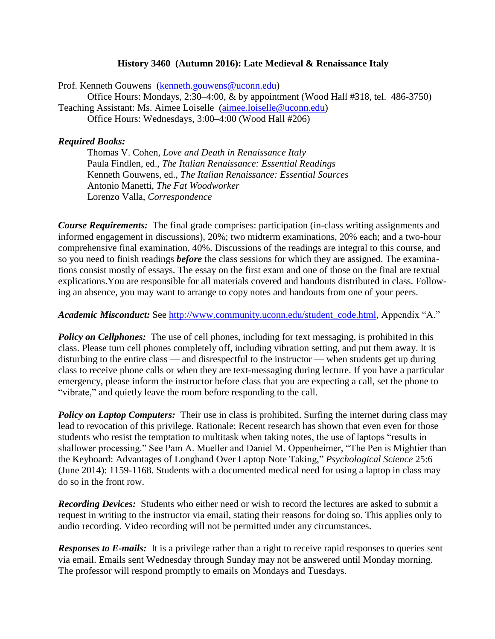## **History 3460 (Autumn 2016): Late Medieval & Renaissance Italy**

Prof. Kenneth Gouwens [\(kenneth.gouwens@uconn.edu\)](mailto:kenneth.gouwens@uconn.edu) Office Hours: Mondays, 2:30–4:00, & by appointment (Wood Hall #318, tel. 486-3750) Teaching Assistant: Ms. Aimee Loiselle [\(aimee.loiselle@uconn.edu\)](mailto:aimee.loiselle@uconn.edu) Office Hours: Wednesdays, 3:00–4:00 (Wood Hall #206)

### *Required Books:*

Thomas V. Cohen, *Love and Death in Renaissance Italy* Paula Findlen, ed., *The Italian Renaissance: Essential Readings* Kenneth Gouwens, ed., *The Italian Renaissance: Essential Sources* Antonio Manetti, *The Fat Woodworker* Lorenzo Valla, *Correspondence*

*Course Requirements:*The final grade comprises: participation (in-class writing assignments and informed engagement in discussions), 20%; two midterm examinations, 20% each; and a two-hour comprehensive final examination, 40%. Discussions of the readings are integral to this course, and so you need to finish readings *before* the class sessions for which they are assigned. The examinations consist mostly of essays. The essay on the first exam and one of those on the final are textual explications.You are responsible for all materials covered and handouts distributed in class. Following an absence, you may want to arrange to copy notes and handouts from one of your peers.

*Academic Misconduct:* See [http://www.community.uconn.edu/student\\_code.html,](http://www.community.uconn.edu/student_code.html) Appendix "A."

**Policy on Cellphones:** The use of cell phones, including for text messaging, is prohibited in this class. Please turn cell phones completely off, including vibration setting, and put them away. It is disturbing to the entire class — and disrespectful to the instructor — when students get up during class to receive phone calls or when they are text-messaging during lecture. If you have a particular emergency, please inform the instructor before class that you are expecting a call, set the phone to "vibrate," and quietly leave the room before responding to the call.

**Policy on Laptop Computers:** Their use in class is prohibited. Surfing the internet during class may lead to revocation of this privilege. Rationale: Recent research has shown that even even for those students who resist the temptation to multitask when taking notes, the use of laptops "results in shallower processing." See Pam A. Mueller and Daniel M. Oppenheimer, "The Pen is Mightier than the Keyboard: Advantages of Longhand Over Laptop Note Taking," *Psychological Science* 25:6 (June 2014): 1159-1168. Students with a documented medical need for using a laptop in class may do so in the front row.

*Recording Devices:* Students who either need or wish to record the lectures are asked to submit a request in writing to the instructor via email, stating their reasons for doing so. This applies only to audio recording. Video recording will not be permitted under any circumstances.

*Responses to E-mails:* It is a privilege rather than a right to receive rapid responses to queries sent via email. Emails sent Wednesday through Sunday may not be answered until Monday morning. The professor will respond promptly to emails on Mondays and Tuesdays.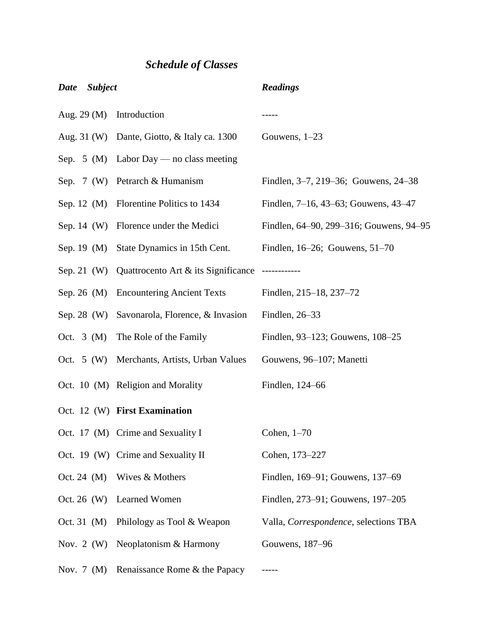# *Schedule of Classes*

| <b>Date</b><br><b>Subject</b> |                                                              | <b>Readings</b>                         |
|-------------------------------|--------------------------------------------------------------|-----------------------------------------|
| Aug. $29(M)$                  | Introduction                                                 |                                         |
|                               | Aug. 31 (W) Dante, Giotto, & Italy ca. 1300                  | Gouwens, $1-23$                         |
|                               | Sep. 5 (M) Labor Day — no class meeting                      |                                         |
|                               | Sep. 7 (W) Petrarch & Humanism                               | Findlen, 3–7, 219–36; Gouwens, 24–38    |
|                               | Sep. 12 (M) Florentine Politics to 1434                      | Findlen, 7–16, 43–63; Gouwens, 43–47    |
| Sep. $14 \, (W)$              | Florence under the Medici                                    | Findlen, 64–90, 299–316; Gouwens, 94–95 |
| Sep. 19 $(M)$                 | State Dynamics in 15th Cent.                                 | Findlen, $16-26$ ; Gouwens, $51-70$     |
|                               | Sep. 21 (W) Quattrocento Art & its Significance ------------ |                                         |
| Sep. 26 $(M)$                 | <b>Encountering Ancient Texts</b>                            | Findlen, 215–18, 237–72                 |
| Sep. 28 $(W)$                 | Savonarola, Florence, & Invasion                             | Findlen, 26-33                          |
| Oct. $3 \text{ (M)}$          | The Role of the Family                                       | Findlen, 93–123; Gouwens, 108–25        |
| Oct. $5(W)$                   | Merchants, Artists, Urban Values                             | Gouwens, 96–107; Manetti                |
|                               | Oct. 10 (M) Religion and Morality                            | Findlen, 124-66                         |
|                               | Oct. 12 (W) First Examination                                |                                         |
|                               | Oct. 17 (M) Crime and Sexuality I                            | Cohen, $1-70$                           |
|                               | Oct. 19 (W) Crime and Sexuality II                           | Cohen, 173-227                          |
| Oct. 24 $(M)$                 | Wives & Mothers                                              | Findlen, 169–91; Gouwens, 137–69        |
| Oct. 26 $(W)$                 | Learned Women                                                | Findlen, 273–91; Gouwens, 197–205       |
| Oct. 31 (M)                   | Philology as Tool & Weapon                                   | Valla, Correspondence, selections TBA   |
| Nov. 2 $(W)$                  | Neoplatonism & Harmony                                       | Gouwens, 187-96                         |
| Nov. $7 \ (M)$                | Renaissance Rome & the Papacy                                |                                         |